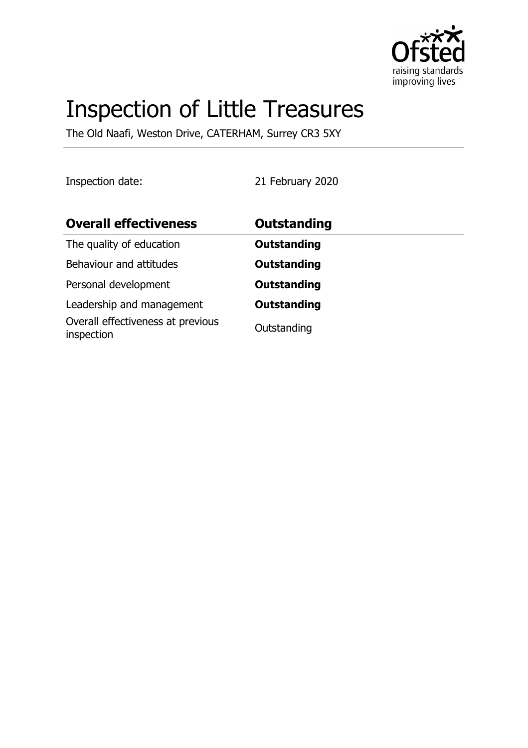

# Inspection of Little Treasures

The Old Naafi, Weston Drive, CATERHAM, Surrey CR3 5XY

Inspection date: 21 February 2020

| <b>Overall effectiveness</b>                    | Outstanding        |
|-------------------------------------------------|--------------------|
| The quality of education                        | <b>Outstanding</b> |
| Behaviour and attitudes                         | <b>Outstanding</b> |
| Personal development                            | <b>Outstanding</b> |
| Leadership and management                       | <b>Outstanding</b> |
| Overall effectiveness at previous<br>inspection | Outstanding        |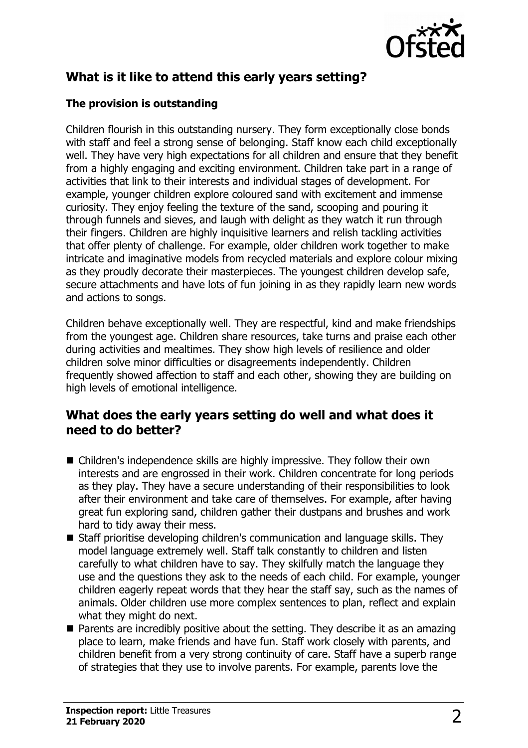

# **What is it like to attend this early years setting?**

#### **The provision is outstanding**

Children flourish in this outstanding nursery. They form exceptionally close bonds with staff and feel a strong sense of belonging. Staff know each child exceptionally well. They have very high expectations for all children and ensure that they benefit from a highly engaging and exciting environment. Children take part in a range of activities that link to their interests and individual stages of development. For example, younger children explore coloured sand with excitement and immense curiosity. They enjoy feeling the texture of the sand, scooping and pouring it through funnels and sieves, and laugh with delight as they watch it run through their fingers. Children are highly inquisitive learners and relish tackling activities that offer plenty of challenge. For example, older children work together to make intricate and imaginative models from recycled materials and explore colour mixing as they proudly decorate their masterpieces. The youngest children develop safe, secure attachments and have lots of fun joining in as they rapidly learn new words and actions to songs.

Children behave exceptionally well. They are respectful, kind and make friendships from the youngest age. Children share resources, take turns and praise each other during activities and mealtimes. They show high levels of resilience and older children solve minor difficulties or disagreements independently. Children frequently showed affection to staff and each other, showing they are building on high levels of emotional intelligence.

#### **What does the early years setting do well and what does it need to do better?**

- $\blacksquare$  Children's independence skills are highly impressive. They follow their own interests and are engrossed in their work. Children concentrate for long periods as they play. They have a secure understanding of their responsibilities to look after their environment and take care of themselves. For example, after having great fun exploring sand, children gather their dustpans and brushes and work hard to tidy away their mess.
- Staff prioritise developing children's communication and language skills. They model language extremely well. Staff talk constantly to children and listen carefully to what children have to say. They skilfully match the language they use and the questions they ask to the needs of each child. For example, younger children eagerly repeat words that they hear the staff say, such as the names of animals. Older children use more complex sentences to plan, reflect and explain what they might do next.
- $\blacksquare$  Parents are incredibly positive about the setting. They describe it as an amazing place to learn, make friends and have fun. Staff work closely with parents, and children benefit from a very strong continuity of care. Staff have a superb range of strategies that they use to involve parents. For example, parents love the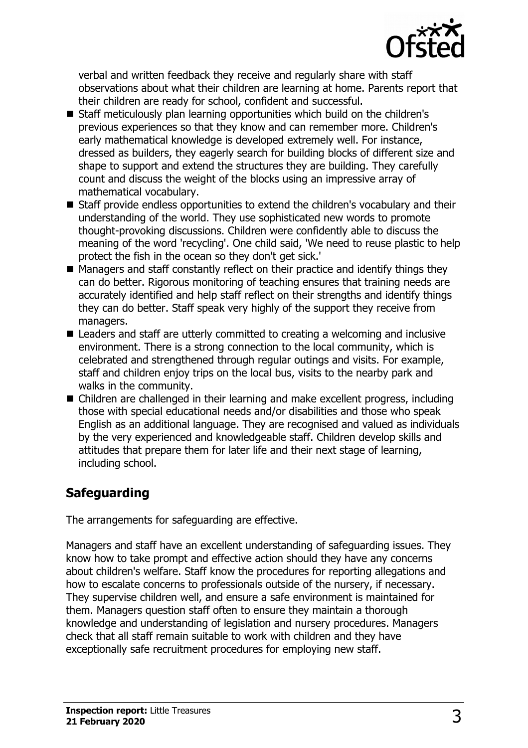

verbal and written feedback they receive and regularly share with staff observations about what their children are learning at home. Parents report that their children are ready for school, confident and successful.

- Staff meticulously plan learning opportunities which build on the children's previous experiences so that they know and can remember more. Children's early mathematical knowledge is developed extremely well. For instance, dressed as builders, they eagerly search for building blocks of different size and shape to support and extend the structures they are building. They carefully count and discuss the weight of the blocks using an impressive array of mathematical vocabulary.
- Staff provide endless opportunities to extend the children's vocabulary and their understanding of the world. They use sophisticated new words to promote thought-provoking discussions. Children were confidently able to discuss the meaning of the word 'recycling'. One child said, 'We need to reuse plastic to help protect the fish in the ocean so they don't get sick.'
- $\blacksquare$  Managers and staff constantly reflect on their practice and identify things they can do better. Rigorous monitoring of teaching ensures that training needs are accurately identified and help staff reflect on their strengths and identify things they can do better. Staff speak very highly of the support they receive from managers.
- $\blacksquare$  Leaders and staff are utterly committed to creating a welcoming and inclusive environment. There is a strong connection to the local community, which is celebrated and strengthened through regular outings and visits. For example, staff and children enjoy trips on the local bus, visits to the nearby park and walks in the community.
- $\blacksquare$  Children are challenged in their learning and make excellent progress, including those with special educational needs and/or disabilities and those who speak English as an additional language. They are recognised and valued as individuals by the very experienced and knowledgeable staff. Children develop skills and attitudes that prepare them for later life and their next stage of learning, including school.

# **Safeguarding**

The arrangements for safeguarding are effective.

Managers and staff have an excellent understanding of safeguarding issues. They know how to take prompt and effective action should they have any concerns about children's welfare. Staff know the procedures for reporting allegations and how to escalate concerns to professionals outside of the nursery, if necessary. They supervise children well, and ensure a safe environment is maintained for them. Managers question staff often to ensure they maintain a thorough knowledge and understanding of legislation and nursery procedures. Managers check that all staff remain suitable to work with children and they have exceptionally safe recruitment procedures for employing new staff.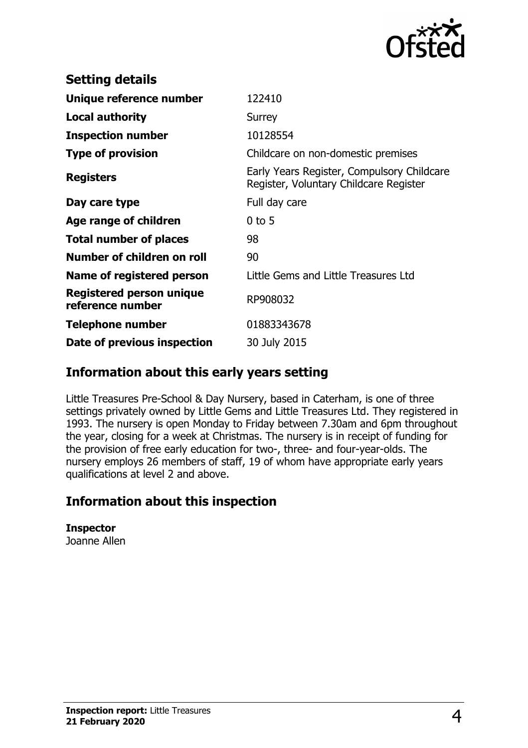

| <b>Setting details</b>                              |                                                                                      |
|-----------------------------------------------------|--------------------------------------------------------------------------------------|
| Unique reference number                             | 122410                                                                               |
| Local authority                                     | Surrey                                                                               |
| <b>Inspection number</b>                            | 10128554                                                                             |
| <b>Type of provision</b>                            | Childcare on non-domestic premises                                                   |
| <b>Registers</b>                                    | Early Years Register, Compulsory Childcare<br>Register, Voluntary Childcare Register |
| Day care type                                       | Full day care                                                                        |
| Age range of children                               | $0$ to 5                                                                             |
| <b>Total number of places</b>                       | 98                                                                                   |
| Number of children on roll                          | 90                                                                                   |
| Name of registered person                           | Little Gems and Little Treasures Ltd                                                 |
| <b>Registered person unique</b><br>reference number | RP908032                                                                             |
| <b>Telephone number</b>                             | 01883343678                                                                          |
| Date of previous inspection                         | 30 July 2015                                                                         |

### **Information about this early years setting**

Little Treasures Pre-School & Day Nursery, based in Caterham, is one of three settings privately owned by Little Gems and Little Treasures Ltd. They registered in 1993. The nursery is open Monday to Friday between 7.30am and 6pm throughout the year, closing for a week at Christmas. The nursery is in receipt of funding for the provision of free early education for two-, three- and four-year-olds. The nursery employs 26 members of staff, 19 of whom have appropriate early years qualifications at level 2 and above.

## **Information about this inspection**

**Inspector** Joanne Allen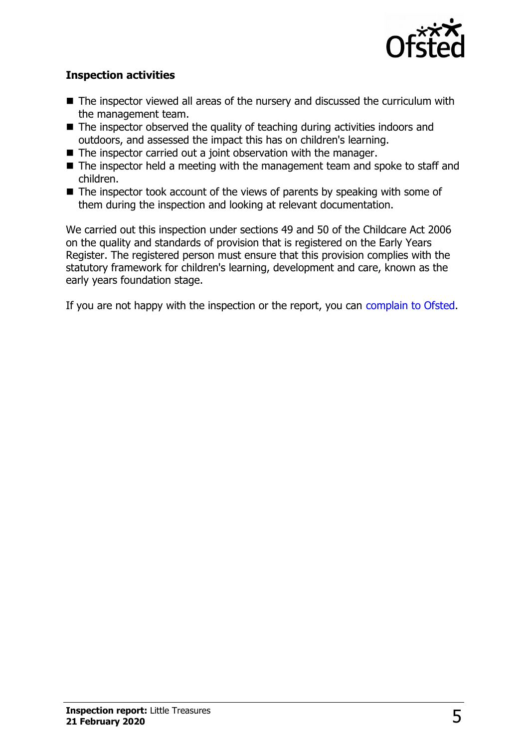

#### **Inspection activities**

- $\blacksquare$  The inspector viewed all areas of the nursery and discussed the curriculum with the management team.
- $\blacksquare$  The inspector observed the quality of teaching during activities indoors and outdoors, and assessed the impact this has on children's learning.
- $\blacksquare$  The inspector carried out a joint observation with the manager.
- $\blacksquare$  The inspector held a meeting with the management team and spoke to staff and children.
- $\blacksquare$  The inspector took account of the views of parents by speaking with some of them during the inspection and looking at relevant documentation.

We carried out this inspection under sections 49 and 50 of the Childcare Act 2006 on the quality and standards of provision that is registered on the Early Years Register. The registered person must ensure that this provision complies with the statutory framework for children's learning, development and care, known as the early years foundation stage.

If you are not happy with the inspection or the report, you can [complain to Ofsted.](http://www.gov.uk/complain-ofsted-report)